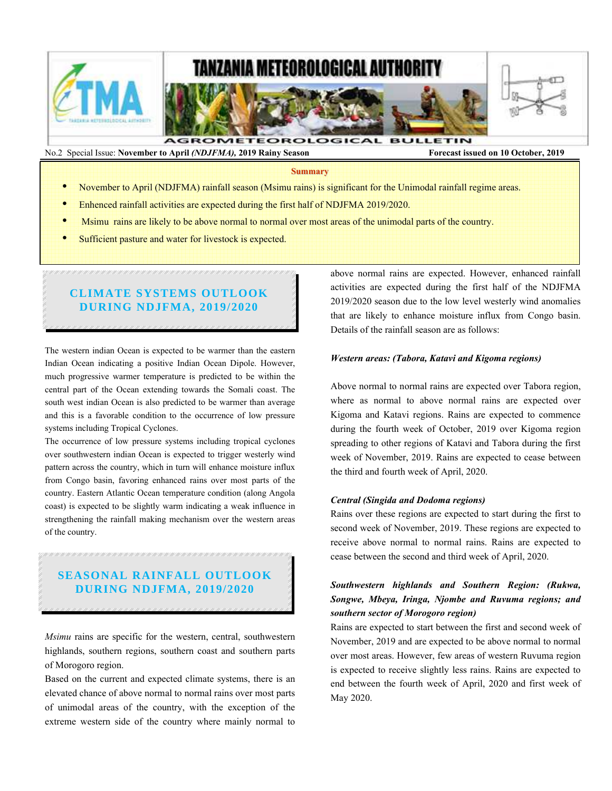

**Summary**

- November to April (NDJFMA) rainfall season (Msimu rains) is significant for the Unimodal rainfall regime areas.
- Enhenced rainfall activities are expected during the first half of NDJFMA 2019/2020.
- Msimu rains are likely to be above normal to normal over most areas of the unimodal parts of the country.
- Sufficient pasture and water for livestock is expected.

# **CLIMATE SYSTEMS OUTLOOK DURING NDJFMA, 2019/2020**

The western indian Ocean is expected to be warmer than the eastern Indian Ocean indicating a positive Indian Ocean Dipole. However, much progressive warmer temperature is predicted to be within the central part of the Ocean extending towards the Somali coast. The south west indian Ocean is also predicted to be warmer than average and this is a favorable condition to the occurrence of low pressure systems including Tropical Cyclones.

The occurrence of low pressure systems including tropical cyclones over southwestern indian Ocean is expected to trigger westerly wind pattern across the country, which in turn will enhance moisture influx from Congo basin, favoring enhanced rains over most parts of the country. Eastern Atlantic Ocean temperature condition (along Angola coast) is expected to be slightly warm indicating a weak influence in strengthening the rainfall making mechanism over the western areas of the country.

# **SEASONAL RAINFALL OUTLOOK DURING NDJFMA, 2019/2020**

*Msimu* rains are specific for the western, central, southwestern highlands, southern regions, southern coast and southern parts of Morogoro region.

Based on the current and expected climate systems, there is an elevated chance of above normal to normal rains over most parts of unimodal areas of the country, with the exception of the extreme western side of the country where mainly normal to above normal rains are expected. However, enhanced rainfall activities are expected during the first half of the NDJFMA 2019/2020 season due to the low level westerly wind anomalies that are likely to enhance moisture influx from Congo basin. Details of the rainfall season are as follows:

### *Western areas: (Tabora, Katavi and Kigoma regions)*

Above normal to normal rains are expected over Tabora region, where as normal to above normal rains are expected over Kigoma and Katavi regions. Rains are expected to commence during the fourth week of October, 2019 over Kigoma region spreading to other regions of Katavi and Tabora during the first week of November, 2019. Rains are expected to cease between the third and fourth week of April, 2020.

### *Central (Singida and Dodoma regions)*

Rains over these regions are expected to start during the first to second week of November, 2019. These regions are expected to receive above normal to normal rains. Rains are expected to cease between the second and third week of April, 2020.

## *Southwestern highlands and Southern Region: (Rukwa, Songwe, Mbeya, Iringa, Njombe and Ruvuma regions; and southern sector of Morogoro region)*

Rains are expected to start between the first and second week of November, 2019 and are expected to be above normal to normal over most areas. However, few areas of western Ruvuma region is expected to receive slightly less rains. Rains are expected to end between the fourth week of April, 2020 and first week of May 2020.